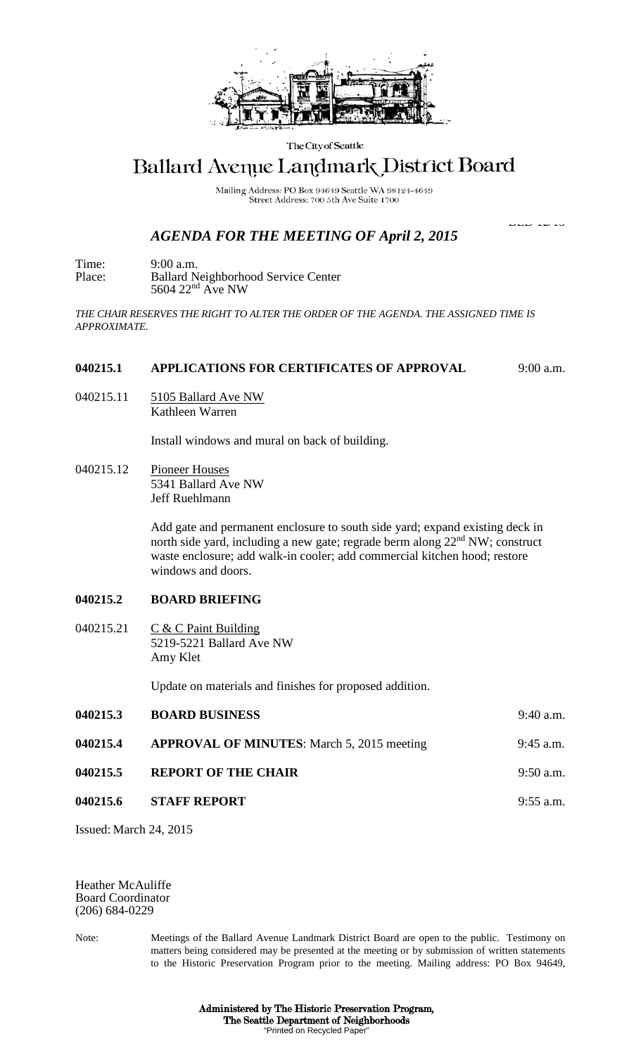

The City of Seattle

# Ballard Avenue Landmark District Board

Mailing Address: PO Box 94649 Seattle WA 98124-4649 Street Address: 700 5th Ave Suite 1700

ل دی اسات اسلام

## *AGENDA FOR THE MEETING OF April 2, 2015*

Time: 9:00 a.m. Place: Ballard Neighborhood Service Center 5604 22<sup>nd</sup> Ave NW

*THE CHAIR RESERVES THE RIGHT TO ALTER THE ORDER OF THE AGENDA. THE ASSIGNED TIME IS APPROXIMATE.*

#### **040215.1 APPLICATIONS FOR CERTIFICATES OF APPROVAL** 9:00 a.m.

040215.11 5105 Ballard Ave NW Kathleen Warren

Install windows and mural on back of building.

040215.12 Pioneer Houses 5341 Ballard Ave NW Jeff Ruehlmann

> Add gate and permanent enclosure to south side yard; expand existing deck in north side yard, including a new gate; regrade berm along 22<sup>nd</sup> NW; construct waste enclosure; add walk-in cooler; add commercial kitchen hood; restore windows and doors.

### **040215.2 BOARD BRIEFING**

040215.21  $C & C$  Paint Building 5219-5221 Ballard Ave NW Amy Klet

Update on materials and finishes for proposed addition.

| 040215.3 | <b>BOARD BUSINESS</b>                             | $9:40$ a.m. |
|----------|---------------------------------------------------|-------------|
| 040215.4 | <b>APPROVAL OF MINUTES:</b> March 5, 2015 meeting | $9:45$ a.m. |
| 040215.5 | <b>REPORT OF THE CHAIR</b>                        | $9:50$ a.m. |
| 040215.6 | <b>STAFF REPORT</b>                               | $9:55$ a.m. |

Issued: March 24, 2015

Heather McAuliffe Board Coordinator (206) 684-0229

Note: Meetings of the Ballard Avenue Landmark District Board are open to the public. Testimony on matters being considered may be presented at the meeting or by submission of written statements to the Historic Preservation Program prior to the meeting. Mailing address: PO Box 94649,